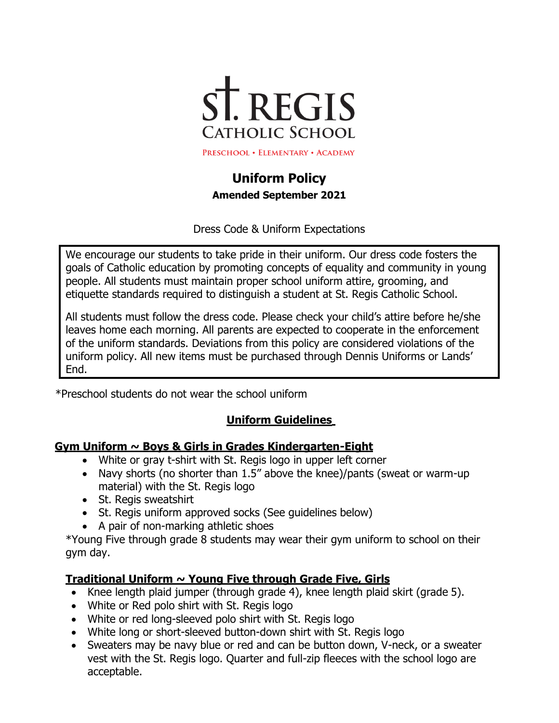

# **Uniform Policy Amended September 2021**

Dress Code & Uniform Expectations

We encourage our students to take pride in their uniform. Our dress code fosters the goals of Catholic education by promoting concepts of equality and community in young people. All students must maintain proper school uniform attire, grooming, and etiquette standards required to distinguish a student at St. Regis Catholic School.

All students must follow the dress code. Please check your child's attire before he/she leaves home each morning. All parents are expected to cooperate in the enforcement of the uniform standards. Deviations from this policy are considered violations of the uniform policy. All new items must be purchased through Dennis Uniforms or Lands' End.

\*Preschool students do not wear the school uniform

### **Uniform Guidelines**

#### **Gym Uniform ~ Boys & Girls in Grades Kindergarten-Eight**

- White or gray t-shirt with St. Regis logo in upper left corner
- Navy shorts (no shorter than 1.5" above the knee)/pants (sweat or warm-up material) with the St. Regis logo
- St. Regis sweatshirt
- St. Regis uniform approved socks (See guidelines below)
- A pair of non-marking athletic shoes

\*Young Five through grade 8 students may wear their gym uniform to school on their gym day.

### **Traditional Uniform ~ Young Five through Grade Five, Girls**

- Knee length plaid jumper (through grade 4), knee length plaid skirt (grade 5).
- White or Red polo shirt with St. Regis logo
- White or red long-sleeved polo shirt with St. Regis logo
- White long or short-sleeved button-down shirt with St. Regis logo
- Sweaters may be navy blue or red and can be button down, V-neck, or a sweater vest with the St. Regis logo. Quarter and full-zip fleeces with the school logo are acceptable.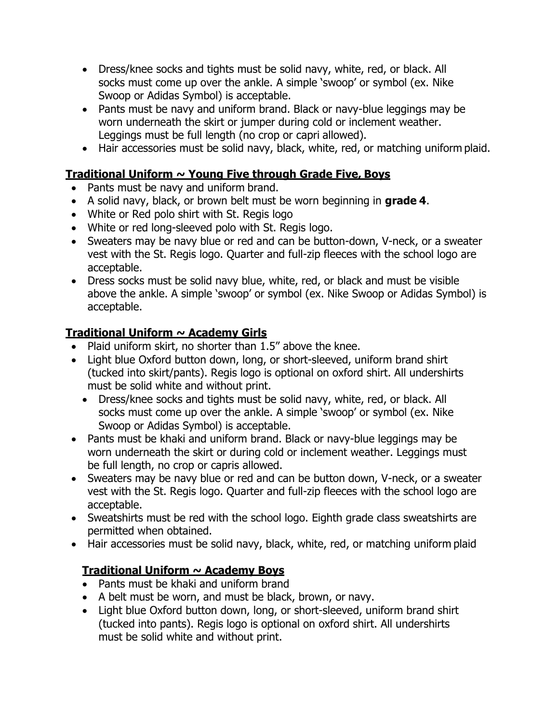- Dress/knee socks and tights must be solid navy, white, red, or black. All socks must come up over the ankle. A simple 'swoop' or symbol (ex. Nike Swoop or Adidas Symbol) is acceptable.
- Pants must be navy and uniform brand. Black or navy-blue leggings may be worn underneath the skirt or jumper during cold or inclement weather. Leggings must be full length (no crop or capri allowed).
- Hair accessories must be solid navy, black, white, red, or matching uniform plaid.

## **Traditional Uniform ~ Young Five through Grade Five, Boys**

- Pants must be navy and uniform brand.
- A solid navy, black, or brown belt must be worn beginning in **grade 4**.
- White or Red polo shirt with St. Regis logo
- White or red long-sleeved polo with St. Regis logo.
- Sweaters may be navy blue or red and can be button-down, V-neck, or a sweater vest with the St. Regis logo. Quarter and full-zip fleeces with the school logo are acceptable.
- Dress socks must be solid navy blue, white, red, or black and must be visible above the ankle. A simple 'swoop' or symbol (ex. Nike Swoop or Adidas Symbol) is acceptable.

# **Traditional Uniform ~ Academy Girls**

- Plaid uniform skirt, no shorter than 1.5" above the knee.
- Light blue Oxford button down, long, or short-sleeved, uniform brand shirt (tucked into skirt/pants). Regis logo is optional on oxford shirt. All undershirts must be solid white and without print.
	- Dress/knee socks and tights must be solid navy, white, red, or black. All socks must come up over the ankle. A simple 'swoop' or symbol (ex. Nike Swoop or Adidas Symbol) is acceptable.
- Pants must be khaki and uniform brand. Black or navy-blue leggings may be worn underneath the skirt or during cold or inclement weather. Leggings must be full length, no crop or capris allowed.
- Sweaters may be navy blue or red and can be button down, V-neck, or a sweater vest with the St. Regis logo. Quarter and full-zip fleeces with the school logo are acceptable.
- Sweatshirts must be red with the school logo. Eighth grade class sweatshirts are permitted when obtained.
- Hair accessories must be solid navy, black, white, red, or matching uniform plaid

# **Traditional Uniform ~ Academy Boys**

- Pants must be khaki and uniform brand
- A belt must be worn, and must be black, brown, or navy.
- Light blue Oxford button down, long, or short-sleeved, uniform brand shirt (tucked into pants). Regis logo is optional on oxford shirt. All undershirts must be solid white and without print.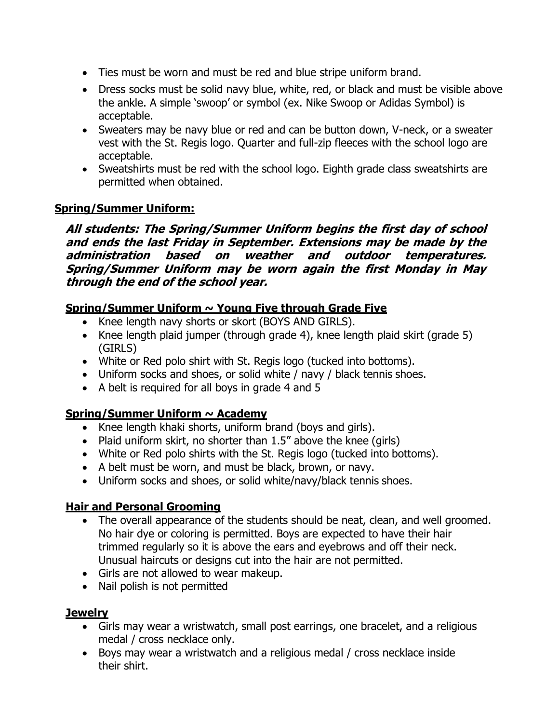- Ties must be worn and must be red and blue stripe uniform brand.
- Dress socks must be solid navy blue, white, red, or black and must be visible above the ankle. A simple 'swoop' or symbol (ex. Nike Swoop or Adidas Symbol) is acceptable.
- Sweaters may be navy blue or red and can be button down, V-neck, or a sweater vest with the St. Regis logo. Quarter and full-zip fleeces with the school logo are acceptable.
- Sweatshirts must be red with the school logo. Eighth grade class sweatshirts are permitted when obtained.

#### **Spring/Summer Uniform:**

**All students: The Spring/Summer Uniform begins the first day of school and ends the last Friday in September. Extensions may be made by the administration based on weather and outdoor temperatures. Spring/Summer Uniform may be worn again the first Monday in May through the end of the school year.**

### **Spring/Summer Uniform ~ Young Five through Grade Five**

- Knee length navy shorts or skort (BOYS AND GIRLS).
- Knee length plaid jumper (through grade 4), knee length plaid skirt (grade 5) (GIRLS)
- White or Red polo shirt with St. Regis logo (tucked into bottoms).
- Uniform socks and shoes, or solid white / navy / black tennis shoes.
- A belt is required for all boys in grade 4 and 5

### **Spring/Summer Uniform ~ Academy**

- Knee length khaki shorts, uniform brand (boys and girls).
- Plaid uniform skirt, no shorter than 1.5" above the knee (girls)
- White or Red polo shirts with the St. Regis logo (tucked into bottoms).
- A belt must be worn, and must be black, brown, or navy.
- Uniform socks and shoes, or solid white/navy/black tennis shoes.

### **Hair and Personal Grooming**

- The overall appearance of the students should be neat, clean, and well groomed. No hair dye or coloring is permitted. Boys are expected to have their hair trimmed regularly so it is above the ears and eyebrows and off their neck. Unusual haircuts or designs cut into the hair are not permitted.
- Girls are not allowed to wear makeup.
- Nail polish is not permitted

### **Jewelry**

- Girls may wear a wristwatch, small post earrings, one bracelet, and a religious medal / cross necklace only.
- Boys may wear a wristwatch and a religious medal / cross necklace inside their shirt.